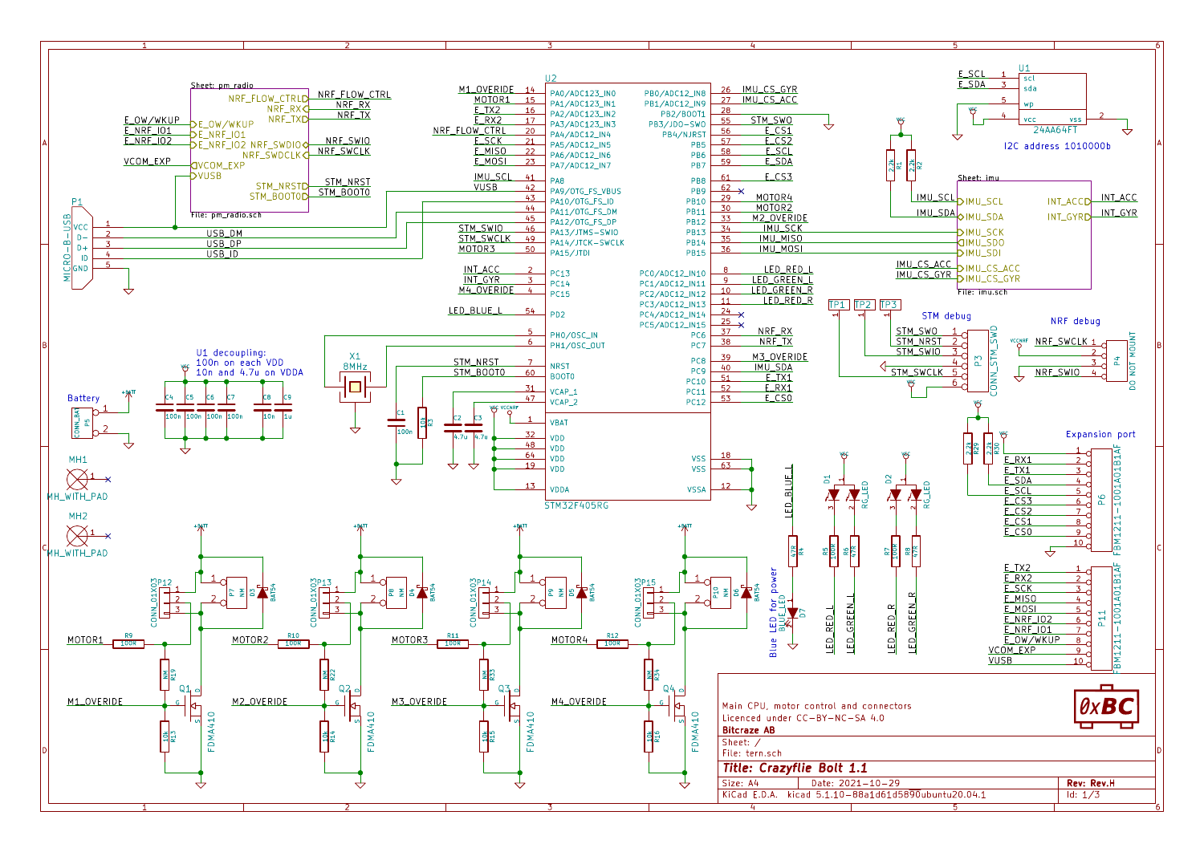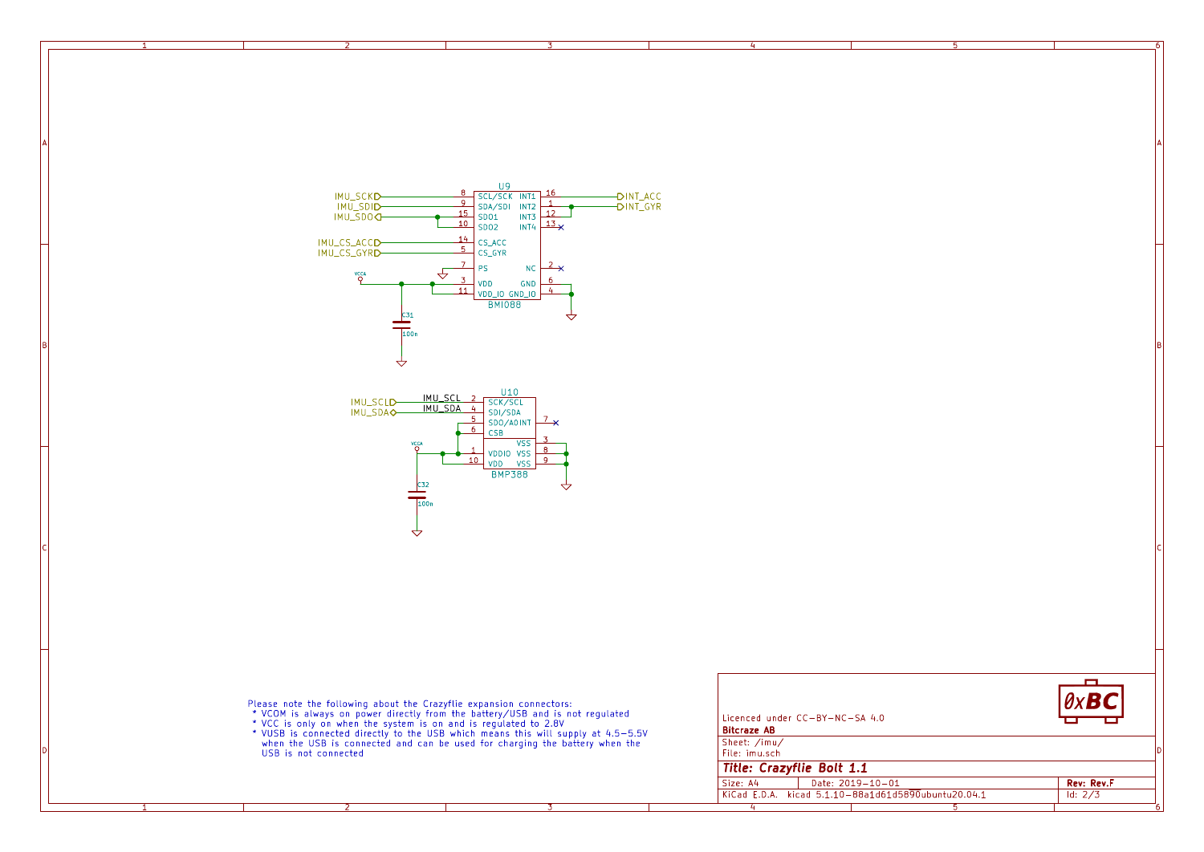

A International contracts of the contracts of the contracts of the contracts of the contracts of the contracts





1 and 1 and 1 and 1 and 1 and 1 and 1 and 1 and 1 and 1 and 1 and 1 and 1 and 1 and 1 and 1 and 1 and 1 and 1 and 1 and 1 and 1 and 1 and 1 and 1 and 1 and 1 and 1 and 1 and 1 and 1 and 1 and 1 and 1 and 1 and 1 and 1 and

A **A** 

B<br>C<br>C<br>C